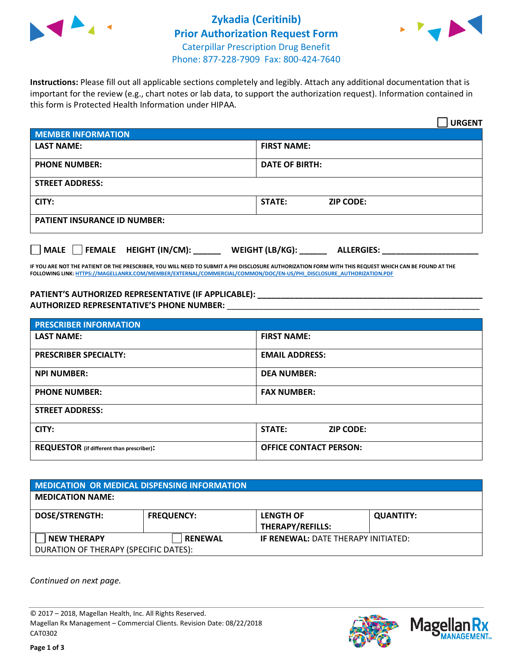

## **Zykadia (Ceritinib) Prior Authorization Request Form** Caterpillar Prescription Drug Benefit Phone: 877-228-7909 Fax: 800-424-7640



**Instructions:** Please fill out all applicable sections completely and legibly. Attach any additional documentation that is important for the review (e.g., chart notes or lab data, to support the authorization request). Information contained in this form is Protected Health Information under HIPAA.

|                                                              | <b>URGENT</b>                        |  |  |  |
|--------------------------------------------------------------|--------------------------------------|--|--|--|
| <b>MEMBER INFORMATION</b>                                    |                                      |  |  |  |
| <b>LAST NAME:</b>                                            | <b>FIRST NAME:</b>                   |  |  |  |
| <b>PHONE NUMBER:</b>                                         | <b>DATE OF BIRTH:</b>                |  |  |  |
| <b>STREET ADDRESS:</b>                                       |                                      |  |  |  |
| CITY:                                                        | <b>ZIP CODE:</b><br>STATE:           |  |  |  |
| <b>PATIENT INSURANCE ID NUMBER:</b>                          |                                      |  |  |  |
| FEMALE HEIGHT (IN/CM):<br>$\blacksquare$ MALE $\blacksquare$ | WEIGHT (LB/KG):<br><b>ALLERGIES:</b> |  |  |  |

**IF YOU ARE NOT THE PATIENT OR THE PRESCRIBER, YOU WILL NEED TO SUBMIT A PHI DISCLOSURE AUTHORIZATION FORM WITH THIS REQUEST WHICH CAN BE FOUND AT THE FOLLOWING LINK[: HTTPS://MAGELLANRX.COM/MEMBER/EXTERNAL/COMMERCIAL/COMMON/DOC/EN-US/PHI\\_DISCLOSURE\\_AUTHORIZATION.PDF](https://magellanrx.com/member/external/commercial/common/doc/en-us/PHI_Disclosure_Authorization.pdf)**

**PATIENT'S AUTHORIZED REPRESENTATIVE (IF APPLICABLE): \_\_\_\_\_\_\_\_\_\_\_\_\_\_\_\_\_\_\_\_\_\_\_\_\_\_\_\_\_\_\_\_\_\_\_\_\_\_\_\_\_\_\_\_\_\_\_\_\_ AUTHORIZED REPRESENTATIVE'S PHONE NUMBER:** \_\_\_\_\_\_\_\_\_\_\_\_\_\_\_\_\_\_\_\_\_\_\_\_\_\_\_\_\_\_\_\_\_\_\_\_\_\_\_\_\_\_\_\_\_\_\_\_\_\_\_\_\_\_\_

| <b>PRESCRIBER INFORMATION</b>             |                               |  |  |  |
|-------------------------------------------|-------------------------------|--|--|--|
| <b>LAST NAME:</b>                         | <b>FIRST NAME:</b>            |  |  |  |
| <b>PRESCRIBER SPECIALTY:</b>              | <b>EMAIL ADDRESS:</b>         |  |  |  |
| <b>NPI NUMBER:</b>                        | <b>DEA NUMBER:</b>            |  |  |  |
| <b>PHONE NUMBER:</b>                      | <b>FAX NUMBER:</b>            |  |  |  |
| <b>STREET ADDRESS:</b>                    |                               |  |  |  |
| CITY:                                     | STATE:<br><b>ZIP CODE:</b>    |  |  |  |
| REQUESTOR (if different than prescriber): | <b>OFFICE CONTACT PERSON:</b> |  |  |  |

| <b>MEDICATION OR MEDICAL DISPENSING INFORMATION</b> |                   |                                             |                  |  |  |
|-----------------------------------------------------|-------------------|---------------------------------------------|------------------|--|--|
| <b>MEDICATION NAME:</b>                             |                   |                                             |                  |  |  |
| <b>DOSE/STRENGTH:</b>                               | <b>FREQUENCY:</b> | <b>LENGTH OF</b><br><b>THERAPY/REFILLS:</b> | <b>QUANTITY:</b> |  |  |
| <b>NEW THERAPY</b>                                  | <b>RENEWAL</b>    | <b>IF RENEWAL: DATE THERAPY INITIATED:</b>  |                  |  |  |
| DURATION OF THERAPY (SPECIFIC DATES):               |                   |                                             |                  |  |  |

*Continued on next page.*

© 2017 – 2018, Magellan Health, Inc. All Rights Reserved. Magellan Rx Management – Commercial Clients. Revision Date: 08/22/2018 CAT0302



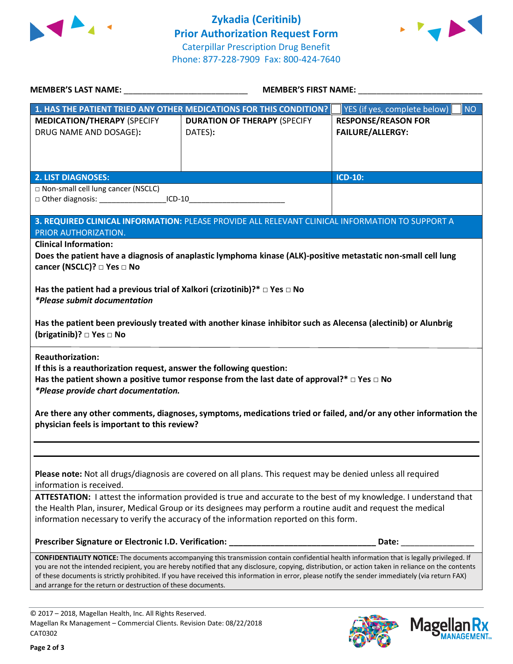



| MEMBER'S LAST NAME: NAME:                                                                                                                                                                                                                                                                               | MEMBER'S FIRST NAME:                                                                                                                        |                                             |  |  |
|---------------------------------------------------------------------------------------------------------------------------------------------------------------------------------------------------------------------------------------------------------------------------------------------------------|---------------------------------------------------------------------------------------------------------------------------------------------|---------------------------------------------|--|--|
|                                                                                                                                                                                                                                                                                                         | 1. HAS THE PATIENT TRIED ANY OTHER MEDICATIONS FOR THIS CONDITION?                                                                          | YES (if yes, complete below)  <br><b>NO</b> |  |  |
| <b>MEDICATION/THERAPY (SPECIFY</b>                                                                                                                                                                                                                                                                      | <b>DURATION OF THERAPY (SPECIFY</b>                                                                                                         | <b>RESPONSE/REASON FOR</b>                  |  |  |
| DRUG NAME AND DOSAGE):                                                                                                                                                                                                                                                                                  | DATES):                                                                                                                                     | FAILURE/ALLERGY:                            |  |  |
|                                                                                                                                                                                                                                                                                                         |                                                                                                                                             |                                             |  |  |
|                                                                                                                                                                                                                                                                                                         |                                                                                                                                             |                                             |  |  |
|                                                                                                                                                                                                                                                                                                         |                                                                                                                                             |                                             |  |  |
| <b>2. LIST DIAGNOSES:</b>                                                                                                                                                                                                                                                                               |                                                                                                                                             | <b>ICD-10:</b>                              |  |  |
| □ Non-small cell lung cancer (NSCLC)<br>□ Other diagnosis: ______________________ICD-10________________________________                                                                                                                                                                                 |                                                                                                                                             |                                             |  |  |
|                                                                                                                                                                                                                                                                                                         |                                                                                                                                             |                                             |  |  |
|                                                                                                                                                                                                                                                                                                         | 3. REQUIRED CLINICAL INFORMATION: PLEASE PROVIDE ALL RELEVANT CLINICAL INFORMATION TO SUPPORT A                                             |                                             |  |  |
| PRIOR AUTHORIZATION.                                                                                                                                                                                                                                                                                    |                                                                                                                                             |                                             |  |  |
| <b>Clinical Information:</b>                                                                                                                                                                                                                                                                            |                                                                                                                                             |                                             |  |  |
|                                                                                                                                                                                                                                                                                                         | Does the patient have a diagnosis of anaplastic lymphoma kinase (ALK)-positive metastatic non-small cell lung                               |                                             |  |  |
| cancer (NSCLC)? □ Yes □ No                                                                                                                                                                                                                                                                              |                                                                                                                                             |                                             |  |  |
| Has the patient had a previous trial of Xalkori (crizotinib)?* $\Box$ Yes $\Box$ No                                                                                                                                                                                                                     |                                                                                                                                             |                                             |  |  |
| <i>*Please submit documentation</i>                                                                                                                                                                                                                                                                     |                                                                                                                                             |                                             |  |  |
|                                                                                                                                                                                                                                                                                                         |                                                                                                                                             |                                             |  |  |
|                                                                                                                                                                                                                                                                                                         | Has the patient been previously treated with another kinase inhibitor such as Alecensa (alectinib) or Alunbrig                              |                                             |  |  |
| (brigatinib)? □ Yes □ No                                                                                                                                                                                                                                                                                |                                                                                                                                             |                                             |  |  |
|                                                                                                                                                                                                                                                                                                         |                                                                                                                                             |                                             |  |  |
| <b>Reauthorization:</b>                                                                                                                                                                                                                                                                                 |                                                                                                                                             |                                             |  |  |
| If this is a reauthorization request, answer the following question:                                                                                                                                                                                                                                    |                                                                                                                                             |                                             |  |  |
|                                                                                                                                                                                                                                                                                                         | Has the patient shown a positive tumor response from the last date of approval?* $\Box$ Yes $\Box$ No                                       |                                             |  |  |
| *Please provide chart documentation.                                                                                                                                                                                                                                                                    |                                                                                                                                             |                                             |  |  |
|                                                                                                                                                                                                                                                                                                         |                                                                                                                                             |                                             |  |  |
| Are there any other comments, diagnoses, symptoms, medications tried or failed, and/or any other information the<br>physician feels is important to this review?                                                                                                                                        |                                                                                                                                             |                                             |  |  |
|                                                                                                                                                                                                                                                                                                         |                                                                                                                                             |                                             |  |  |
|                                                                                                                                                                                                                                                                                                         |                                                                                                                                             |                                             |  |  |
|                                                                                                                                                                                                                                                                                                         |                                                                                                                                             |                                             |  |  |
| Please note: Not all drugs/diagnosis are covered on all plans. This request may be denied unless all required                                                                                                                                                                                           |                                                                                                                                             |                                             |  |  |
| information is received.                                                                                                                                                                                                                                                                                |                                                                                                                                             |                                             |  |  |
| ATTESTATION: I attest the information provided is true and accurate to the best of my knowledge. I understand that                                                                                                                                                                                      |                                                                                                                                             |                                             |  |  |
| the Health Plan, insurer, Medical Group or its designees may perform a routine audit and request the medical                                                                                                                                                                                            |                                                                                                                                             |                                             |  |  |
| information necessary to verify the accuracy of the information reported on this form.                                                                                                                                                                                                                  |                                                                                                                                             |                                             |  |  |
|                                                                                                                                                                                                                                                                                                         |                                                                                                                                             |                                             |  |  |
|                                                                                                                                                                                                                                                                                                         |                                                                                                                                             |                                             |  |  |
|                                                                                                                                                                                                                                                                                                         | CONFIDENTIALITY NOTICE: The documents accompanying this transmission contain confidential health information that is legally privileged. If |                                             |  |  |
| you are not the intended recipient, you are hereby notified that any disclosure, copying, distribution, or action taken in reliance on the contents<br>of these documents is strictly prohibited. If you have received this information in error, please notify the sender immediately (via return FAX) |                                                                                                                                             |                                             |  |  |
| and arrange for the return or destruction of these documents.                                                                                                                                                                                                                                           |                                                                                                                                             |                                             |  |  |
|                                                                                                                                                                                                                                                                                                         |                                                                                                                                             |                                             |  |  |
|                                                                                                                                                                                                                                                                                                         |                                                                                                                                             |                                             |  |  |

© 2017 – 2018, Magellan Health, Inc. All Rights Reserved. Magellan Rx Management – Commercial Clients. Revision Date: 08/22/2018 CAT0302